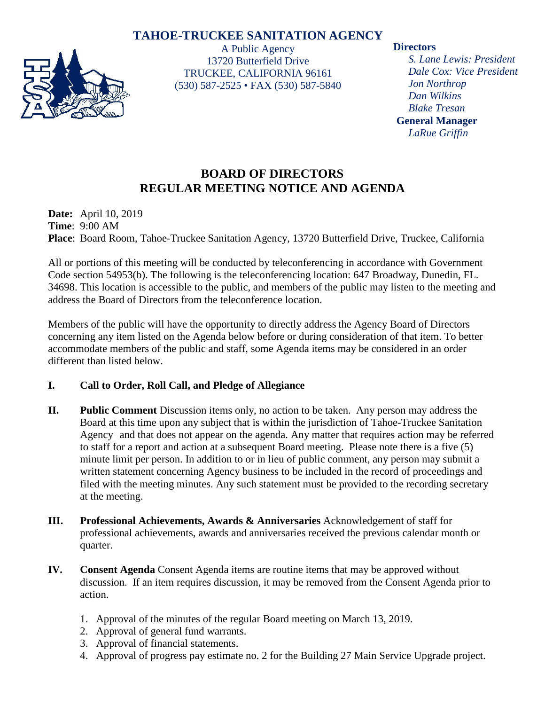# **TAHOE-TRUCKEE SANITATION AGENCY**



A Public Agency 13720 Butterfield Drive TRUCKEE, CALIFORNIA 96161 (530) 587-2525 • FAX (530) 587-5840

#### **Directors**

*S. Lane Lewis: President Dale Cox: Vice President Jon Northrop Dan Wilkins Blake Tresan* **General Manager** *LaRue Griffin*

# **BOARD OF DIRECTORS REGULAR MEETING NOTICE AND AGENDA**

**Date:** April 10, 2019 **Time**: 9:00 AM **Place**: Board Room, Tahoe-Truckee Sanitation Agency, 13720 Butterfield Drive, Truckee, California

All or portions of this meeting will be conducted by teleconferencing in accordance with Government Code section 54953(b). The following is the teleconferencing location: 647 Broadway, Dunedin, FL. 34698. This location is accessible to the public, and members of the public may listen to the meeting and address the Board of Directors from the teleconference location.

Members of the public will have the opportunity to directly address the Agency Board of Directors concerning any item listed on the Agenda below before or during consideration of that item. To better accommodate members of the public and staff, some Agenda items may be considered in an order different than listed below.

## **I. Call to Order, Roll Call, and Pledge of Allegiance**

- **II. Public Comment** Discussion items only, no action to be taken. Any person may address the Board at this time upon any subject that is within the jurisdiction of Tahoe-Truckee Sanitation Agency and that does not appear on the agenda. Any matter that requires action may be referred to staff for a report and action at a subsequent Board meeting. Please note there is a five (5) minute limit per person. In addition to or in lieu of public comment, any person may submit a written statement concerning Agency business to be included in the record of proceedings and filed with the meeting minutes. Any such statement must be provided to the recording secretary at the meeting.
- **III. Professional Achievements, Awards & Anniversaries** Acknowledgement of staff for professional achievements, awards and anniversaries received the previous calendar month or quarter.
- **IV. Consent Agenda** Consent Agenda items are routine items that may be approved without discussion. If an item requires discussion, it may be removed from the Consent Agenda prior to action.
	- 1. Approval of the minutes of the regular Board meeting on March 13, 2019.
	- 2. Approval of general fund warrants.
	- 3. Approval of financial statements.
	- 4. Approval of progress pay estimate no. 2 for the Building 27 Main Service Upgrade project.